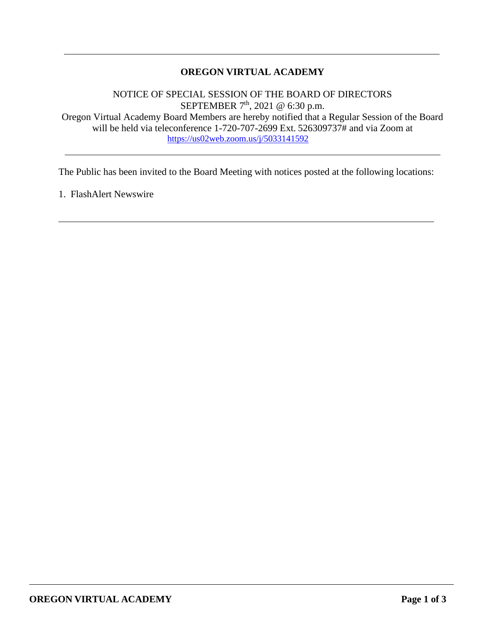### **OREGON VIRTUAL ACADEMY**

NOTICE OF SPECIAL SESSION OF THE BOARD OF DIRECTORS SEPTEMBER  $7<sup>th</sup>$ , 2021 @ 6:30 p.m. Oregon Virtual Academy Board Members are hereby notified that a Regular Session of the Board will be held via teleconference 1-720-707-2699 Ext. 526309737# and via Zoom at <https://us02web.zoom.us/j/5033141592>

The Public has been invited to the Board Meeting with notices posted at the following locations:

1. FlashAlert Newswire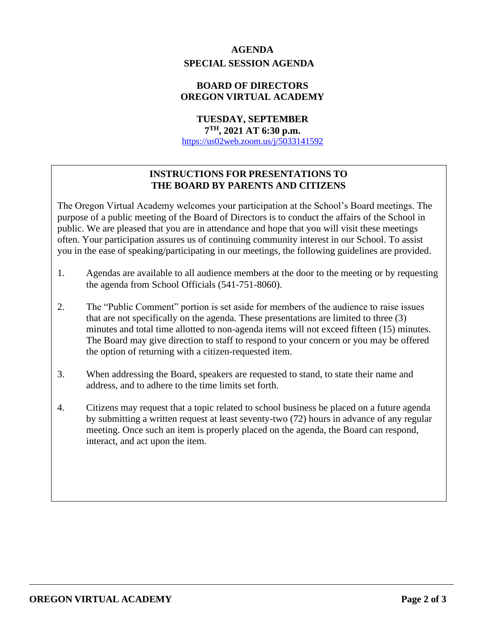# **AGENDA SPECIAL SESSION AGENDA**

### **BOARD OF DIRECTORS OREGON VIRTUAL ACADEMY**

# **TUESDAY, SEPTEMBER**

**7 TH, 2021 AT 6:30 p.m.**

<https://us02web.zoom.us/j/5033141592>

## **INSTRUCTIONS FOR PRESENTATIONS TO THE BOARD BY PARENTS AND CITIZENS**

The Oregon Virtual Academy welcomes your participation at the School's Board meetings. The purpose of a public meeting of the Board of Directors is to conduct the affairs of the School in public. We are pleased that you are in attendance and hope that you will visit these meetings often. Your participation assures us of continuing community interest in our School. To assist you in the ease of speaking/participating in our meetings, the following guidelines are provided.

- 1. Agendas are available to all audience members at the door to the meeting or by requesting the agenda from School Officials (541-751-8060).
- 2. The "Public Comment" portion is set aside for members of the audience to raise issues that are not specifically on the agenda. These presentations are limited to three (3) minutes and total time allotted to non-agenda items will not exceed fifteen (15) minutes. The Board may give direction to staff to respond to your concern or you may be offered the option of returning with a citizen-requested item.
- 3. When addressing the Board, speakers are requested to stand, to state their name and address, and to adhere to the time limits set forth.
- 4. Citizens may request that a topic related to school business be placed on a future agenda by submitting a written request at least seventy-two (72) hours in advance of any regular meeting. Once such an item is properly placed on the agenda, the Board can respond, interact, and act upon the item.